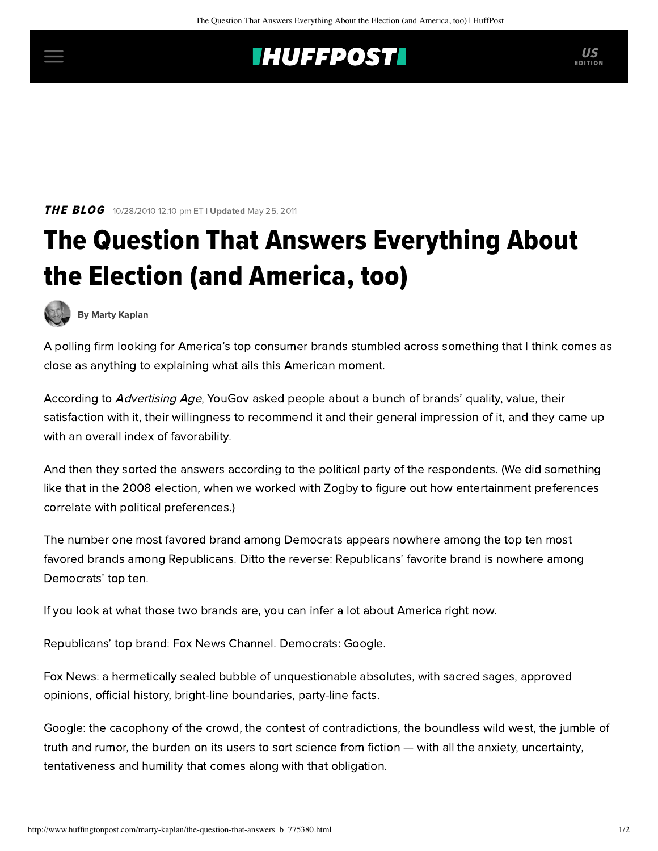## **THUFFPOSTI** US

**THE BLOG** 10/28/2010 12:10 pm ET | Updated May 25, 2011

## The Question That Answers Everything About the Election (and America, too)

[By Marty Kaplan](http://www.huffingtonpost.com/author/marty-kaplan)

A polling firm looking for America's top consumer brands stumbled across something that I think comes as close as anything to explaining what ails this American moment.

According to [Advertising Age](http://adage.com/article?article_id=146663), YouGov asked people about a bunch of brands' quality, value, their satisfaction with it, their willingness to recommend it and their general impression of it, and they came up with an overall index of favorability.

And then they sorted the answers according to the political party of the respondents. (We did something [like that in the 2008 election, when we worked with Zogby to](http://www.learcenter.org/html/projects/?cm=zogby) figure out how entertainment preferences correlate with political preferences.)

The number one most favored brand among Democrats appears nowhere among the top ten most favored brands among Republicans. Ditto the reverse: Republicans' favorite brand is nowhere among Democrats' top ten.

If you look at what those two brands are, you can infer a lot about America right now.

Republicans' top brand: Fox News Channel. Democrats: Google.

Fox News: a hermetically sealed bubble of unquestionable absolutes, with sacred sages, approved opinions, official history, bright-line boundaries, party-line facts.

Google: the cacophony of the crowd, the contest of contradictions, the boundless wild west, the jumble of truth and rumor, the burden on its users to sort science from fiction — with all the anxiety, uncertainty, tentativeness and humility that comes along with that obligation.